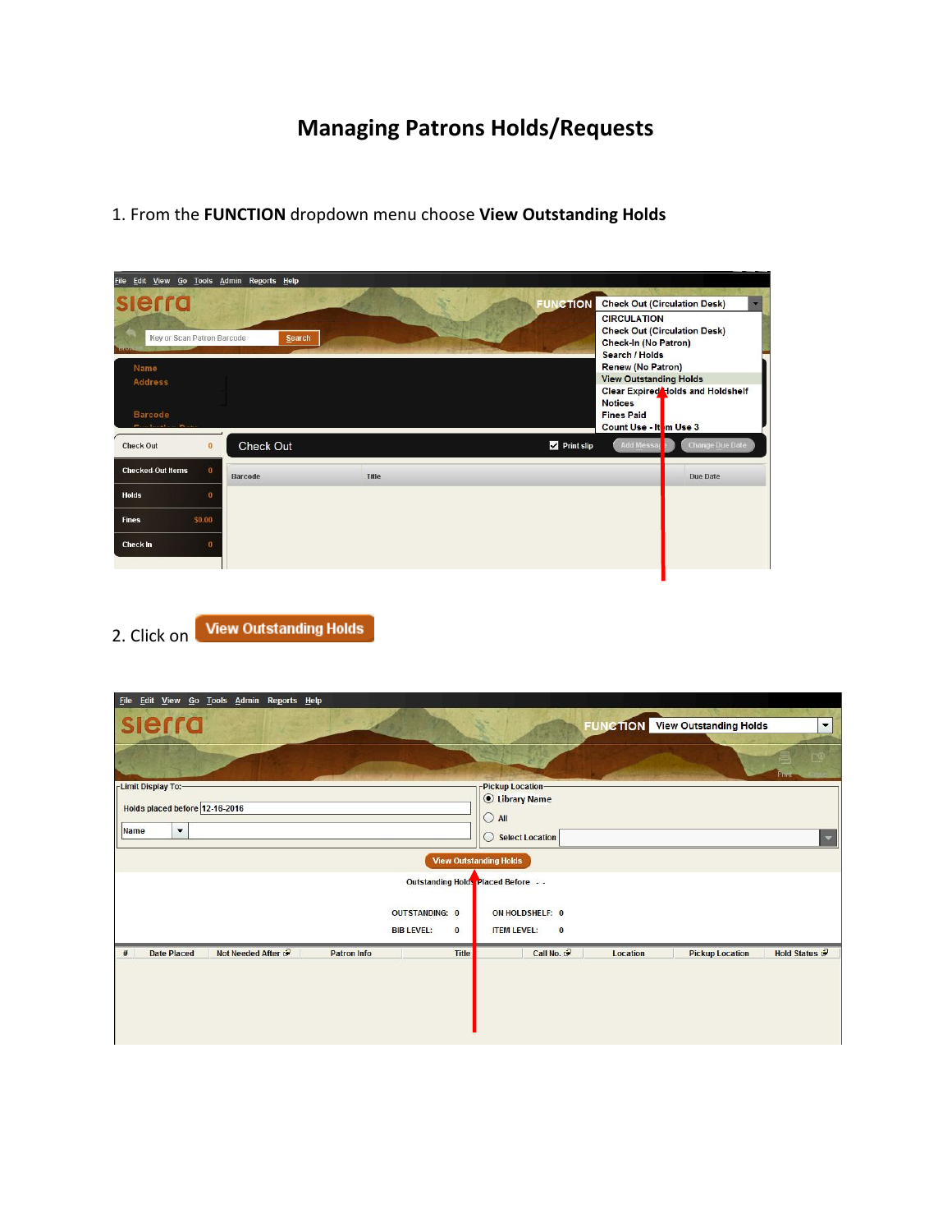## **Managing Patrons Holds/Requests**

| Edit View Go Tools Admin<br><b>File</b>                               | Reports Help   |       |                                                                                                                                                                                                                                   |  |
|-----------------------------------------------------------------------|----------------|-------|-----------------------------------------------------------------------------------------------------------------------------------------------------------------------------------------------------------------------------------|--|
| slerra<br><b>Key or Scan Patron Barcode</b><br>Name<br><b>Address</b> | <b>Search</b>  |       | <b>Check Out (Circulation Desk)</b><br><b>FUNCTION</b><br><b>CIRCULATION</b><br><b>Check Out (Circulation Desk)</b><br><b>Check-In (No Patron)</b><br>Search / Holds<br><b>Renew (No Patron)</b><br><b>View Outstanding Holds</b> |  |
| <b>Barcode</b><br><b>Check Out</b><br>$\bf{0}$                        | Check Out      |       | Clear Expired Holds and Holdshelf<br><b>Notices</b><br><b>Fines Paid</b><br>Count Use - It m Use 3<br><b>Add Messap</b><br>Print slip<br><b>Change Due Date</b>                                                                   |  |
| <b>Checked-Out Items</b><br>$\bf{0}$                                  | <b>Barcode</b> | Title | <b>Due Date</b>                                                                                                                                                                                                                   |  |
| <b>Holds</b><br>0<br>\$0.00<br><b>Fines</b><br>Check In<br>$\bf{0}$   |                |       |                                                                                                                                                                                                                                   |  |

1. From the **FUNCTION** dropdown menu choose **View Outstanding Holds**

2. Click on View Outstanding Holds

| Edit View Go Tools Admin Reports Help<br><b>File</b>                 |                                     |                      |                                        |                         |
|----------------------------------------------------------------------|-------------------------------------|----------------------|----------------------------------------|-------------------------|
| slerra                                                               |                                     |                      | <b>FUNCTION</b> View Outstanding Holds | $\blacktriangledown$    |
|                                                                      |                                     |                      |                                        | <b>Print</b>            |
| -Limit Display To:-                                                  | -Pickup Location-                   |                      |                                        |                         |
| Holds placed before 12-16-2016                                       | <b>C</b> Library Name               |                      |                                        |                         |
|                                                                      | $O$ All                             |                      |                                        |                         |
| $\blacktriangledown$<br>Name                                         | <b>Select Location</b><br>$\circ$   |                      |                                        | $\overline{\mathbf{v}}$ |
|                                                                      | <b>View Outstanding Holds</b>       |                      |                                        |                         |
|                                                                      | Outstanding Holds Placed Before - - |                      |                                        |                         |
| <b>OUTSTANDING: 0</b>                                                | ON HOLD SHELF: 0                    |                      |                                        |                         |
| <b>BIB LEVEL:</b>                                                    | <b>ITEM LEVEL:</b><br>$\bf{0}$      | $\bf{0}$             |                                        |                         |
|                                                                      |                                     |                      |                                        |                         |
| Not Needed After<br><b>Date Placed</b><br><b>Patron Info</b><br>$\#$ | <b>Title</b>                        | Call No.<br>Location | <b>Pickup Location</b>                 | Hold Status &           |
|                                                                      |                                     |                      |                                        |                         |
|                                                                      |                                     |                      |                                        |                         |
|                                                                      |                                     |                      |                                        |                         |
|                                                                      |                                     |                      |                                        |                         |
|                                                                      |                                     |                      |                                        |                         |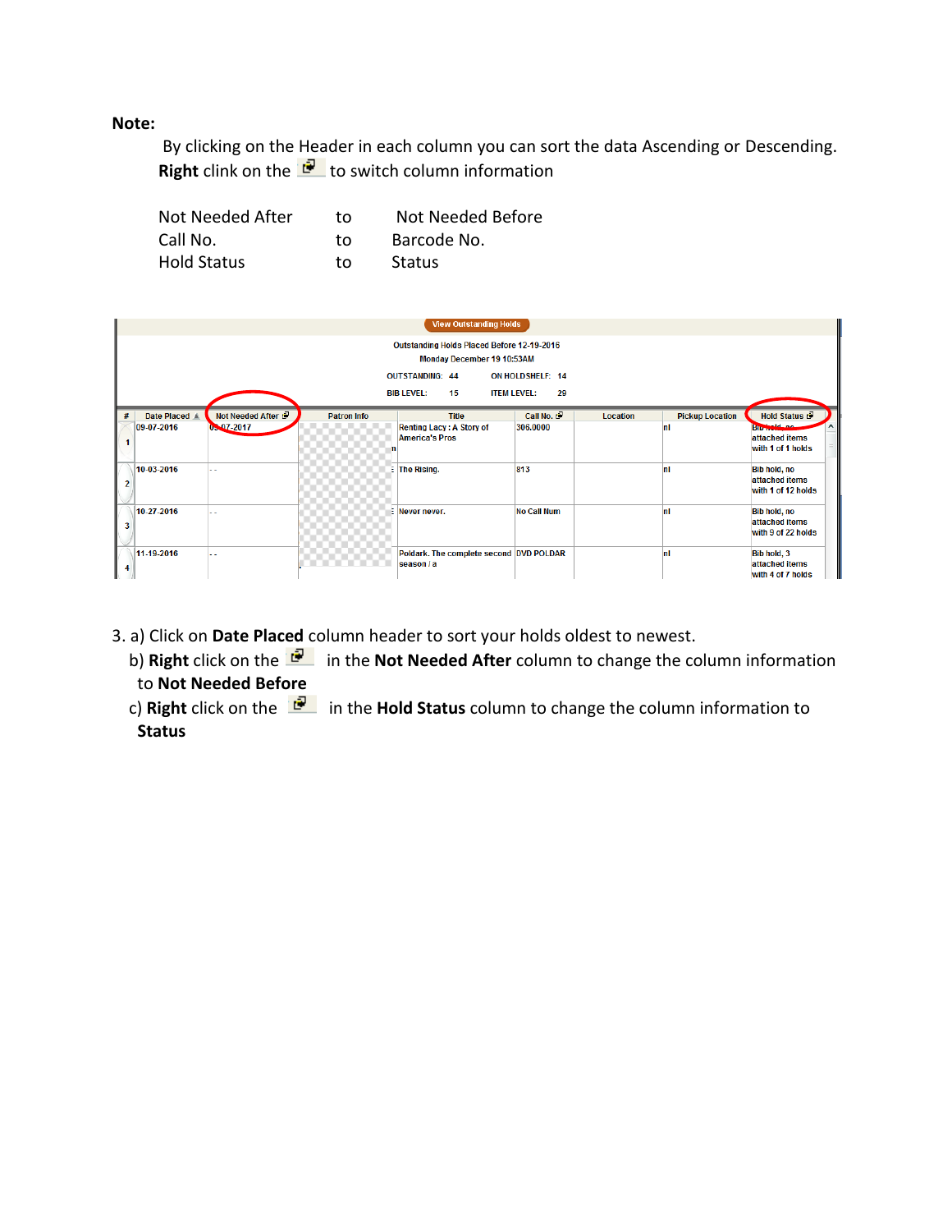## **Note:**

By clicking on the Header in each column you can sort the data Ascending or Descending. **Right** clink on the **the state of switch column information** 

| Not Needed After   | tο | Not Needed Before |
|--------------------|----|-------------------|
| Call No.           | tΩ | Barcode No.       |
| <b>Hold Status</b> | tΩ | Status            |



3. a) Click on **Date Placed** column header to sort your holds oldest to newest.

- b) **Right** click on the in the **Not Needed After** column to change the column information to **Not Needed Before**
- c) **Right** click on the in the **Hold Status** column to change the column information to **Status**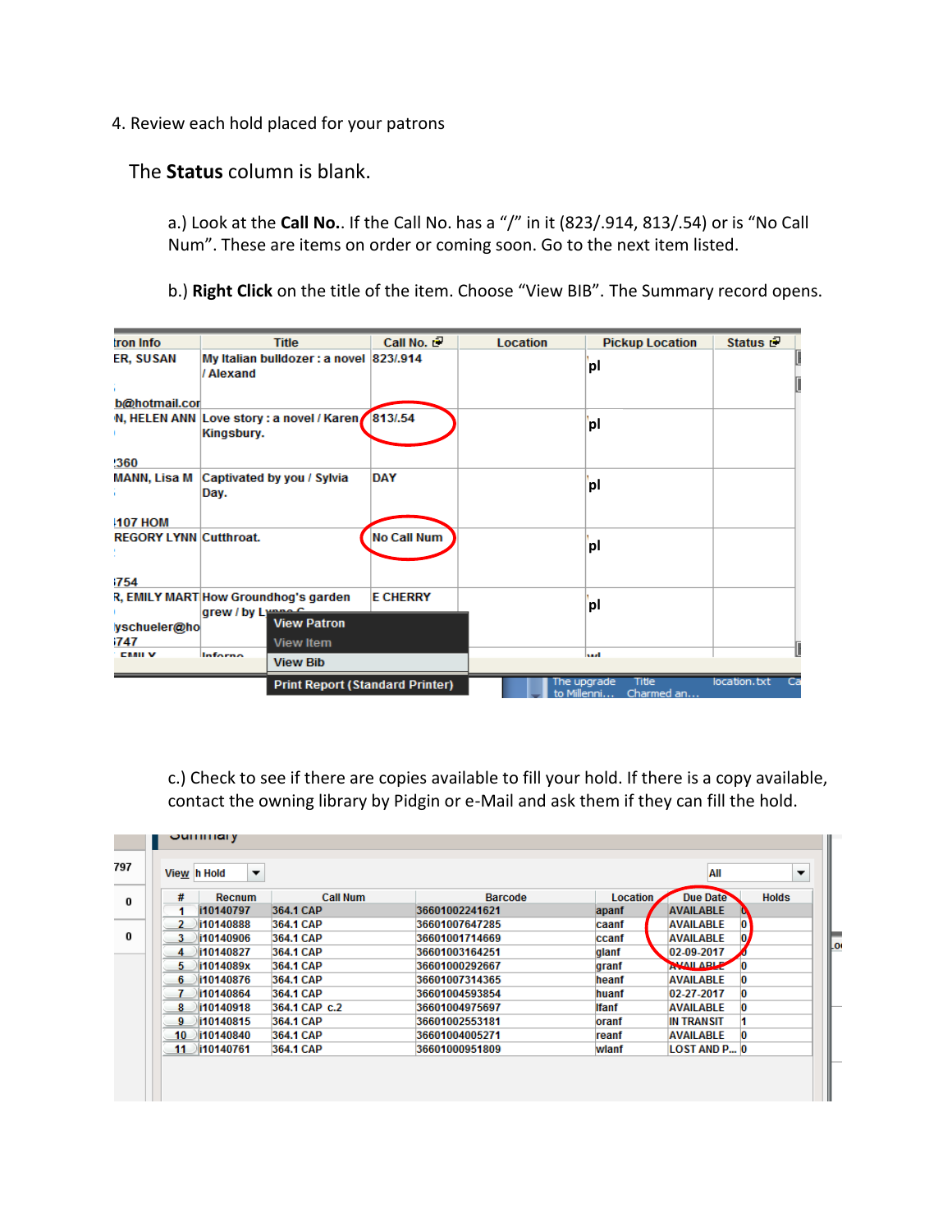4. Review each hold placed for your patrons

The **Status** column is blank.

a.) Look at the **Call No.**. If the Call No. has a "/" in it (823/.914, 813/.54) or is "No Call Num". These are items on order or coming soon. Go to the next item listed.

b.) **Right Click** on the title of the item. Choose "View BIB". The Summary record opens.

| tron Info                     | <b>Title</b>                                              | Call No. 2      | Location | <b>Pickup Location</b>                            | Status <b>B</b> |  |
|-------------------------------|-----------------------------------------------------------|-----------------|----------|---------------------------------------------------|-----------------|--|
| ER, SUSAN                     | My Italian bulldozer: a novel 823/.914<br>/ Alexand       |                 |          | pl                                                |                 |  |
| b@hotmail.cor                 |                                                           |                 |          |                                                   |                 |  |
|                               | N, HELEN ANN Love story : a novel / Karen<br>Kingsbury.   | 813/54          |          | pl                                                |                 |  |
| !360                          |                                                           |                 |          |                                                   |                 |  |
|                               | MANN, Lisa M Captivated by you / Sylvia<br>Day.           | <b>DAY</b>      |          | pl                                                |                 |  |
| <b>107 HOM</b>                |                                                           |                 |          |                                                   |                 |  |
| <b>REGORY LYNN Cutthroat.</b> |                                                           | No Call Num     |          | pl                                                |                 |  |
| 1754                          |                                                           |                 |          |                                                   |                 |  |
|                               | R, EMILY MART How Groundhog's garden<br>grew / by Lymna C | <b>E CHERRY</b> |          | pl                                                |                 |  |
| yschueler@ho                  | <b>View Patron</b>                                        |                 |          |                                                   |                 |  |
| i747                          | <b>View Item</b>                                          |                 |          |                                                   |                 |  |
| <b>CMIL V</b>                 | Inforno<br><b>View Bib</b>                                |                 |          | انتدا                                             |                 |  |
|                               | <b>Print Report (Standard Printer)</b>                    |                 |          | The upgrade<br>Title<br>to Millenni<br>Charmed an | location.txt    |  |

c.) Check to see if there are copies available to fill your hold. If there is a copy available, contact the owning library by Pidgin or e-Mail and ask them if they can fill the hold.

|         | View h Hold<br>▼ |                 |                |              | All                 | ▼            |
|---------|------------------|-----------------|----------------|--------------|---------------------|--------------|
| #       | <b>Recnum</b>    | <b>Call Num</b> | <b>Barcode</b> | Location     | <b>Due Date</b>     | <b>Holds</b> |
|         | i10140797        | 364.1 CAP       | 36601002241621 | apanf        | <b>AVAILABLE</b>    |              |
|         | li10140888       | 364.1 CAP       | 36601007647285 | caanf        | <b>AVAILABLE</b>    | 0            |
| 3.      | i10140906        | 364.1 CAP       | 36601001714669 | ccanf        | <b>AVAILABLE</b>    | 0.           |
| 4       | li10140827       | 364.1 CAP       | 36601003164251 | glanf        | 02-09-2017          |              |
| 5.      | i1014089x        | 364.1 CAP       | 36601000292667 | granf        | AVAILABLE           |              |
| 6.      | li10140876       | 364.1 CAP       | 36601007314365 | heanf        | <b>AVAILABLE</b>    |              |
|         | li10140864       | 364.1 CAP       | 36601004593854 | huanf        | $02 - 27 - 2017$    | O            |
| 8       | i10140918        | 364.1 CAP c.2   | 36601004975697 | <b>Ifanf</b> | <b>AVAILABLE</b>    |              |
| 9       | li10140815       | 364.1 CAP       | 36601002553181 | oranf        | <b>IN TRANSIT</b>   |              |
| $10-10$ | 10140840\\       | 364.1 CAP       | 36601004005271 | reanf        | <b>AVAILABLE</b>    | O            |
|         | 11 i10140761     | 364.1 CAP       | 36601000951809 | wlanf        | <b>LOST AND P 0</b> |              |
|         |                  |                 |                |              |                     |              |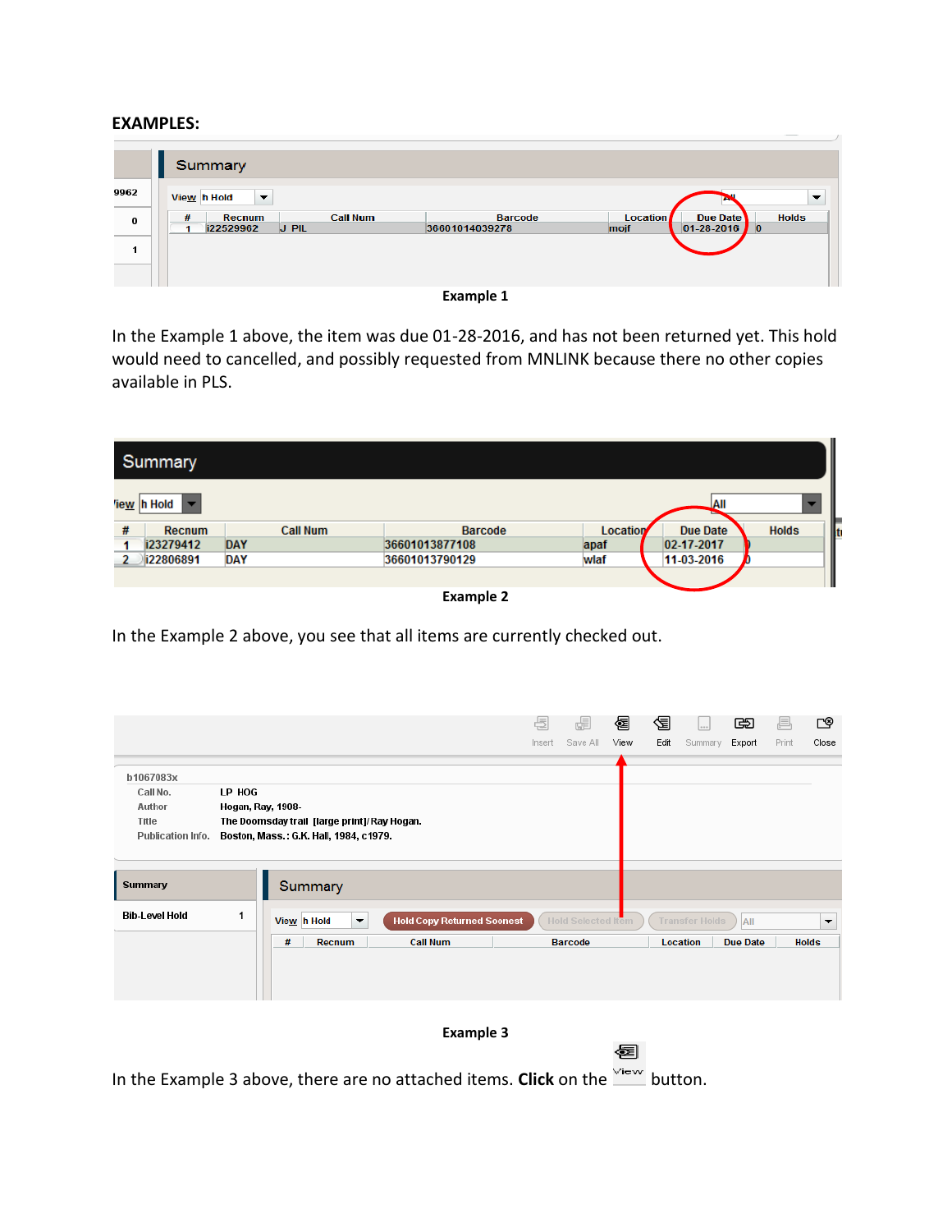## **EXAMPLES:**

|               | Summary                                                     |                                  |                                                                                         |
|---------------|-------------------------------------------------------------|----------------------------------|-----------------------------------------------------------------------------------------|
| 9962          | $\overline{\phantom{0}}$<br>View h Hold                     |                                  | $\overline{\phantom{0}}$                                                                |
| $\bf{0}$<br>1 | <b>Call Num</b><br>#<br><b>Recnum</b><br>J PIL<br>i22529962 | <b>Barcode</b><br>36601014039278 | <b>Location</b><br>Due Date<br><b>Holds</b><br>$01 - 28 - 2016$<br>mojf<br>$\mathbf{0}$ |
|               |                                                             |                                  |                                                                                         |



In the Example 1 above, the item was due 01-28-2016, and has not been returned yet. This hold would need to cancelled, and possibly requested from MNLINK because there no other copies available in PLS.

|   | <b>Summary</b> |                 |                |                 |                    |                     |
|---|----------------|-----------------|----------------|-----------------|--------------------|---------------------|
|   | 'iew h Hold    |                 |                |                 | JAII               |                     |
| # | <b>Recnum</b>  | <b>Call Num</b> | <b>Barcode</b> | <b>Location</b> | <b>Due Date</b>    | <b>Holds</b><br>llt |
|   | i23279412      | <b>DAY</b>      | 36601013877108 | apaf            | $ 02 - 17 - 2017 $ |                     |
|   | i22806891      | <b>DAY</b>      | 36601013790129 | wlaf            | 11-03-2016         |                     |
|   |                |                 |                |                 |                    |                     |

**Example 2**

In the Example 2 above, you see that all items are currently checked out.

|                                         |        |                                                |                                   | 点      | æ                         | 好    | 倡    | 1.14                  | œ               | ⋿     | ≌⊡                   |
|-----------------------------------------|--------|------------------------------------------------|-----------------------------------|--------|---------------------------|------|------|-----------------------|-----------------|-------|----------------------|
|                                         |        |                                                |                                   | Insert | Save All                  | View | Edit | Summary               | Export          | Print | Close                |
| b1067083x                               |        |                                                |                                   |        |                           |      |      |                       |                 |       |                      |
| Call No.                                | LP HOG |                                                |                                   |        |                           |      |      |                       |                 |       |                      |
| Author                                  |        | Hogan, Ray, 1908-                              |                                   |        |                           |      |      |                       |                 |       |                      |
| Title                                   |        | The Doomsday trail [large print]/Ray Hogan.    |                                   |        |                           |      |      |                       |                 |       |                      |
| Publication Info.                       |        | Boston, Mass.: G.K. Hall, 1984, c1979.         |                                   |        |                           |      |      |                       |                 |       |                      |
| <b>Summary</b><br><b>Bib-Level Hold</b> | 1      | Summary<br>View h Hold<br>$\blacktriangledown$ | <b>Hold Copy Returned Soonest</b> |        | <b>Hold Selected Item</b> |      |      | <b>Transfer Holds</b> | All             |       | $\blacktriangledown$ |
|                                         |        | #<br>Recnum                                    | <b>Call Num</b>                   |        | <b>Barcode</b>            |      |      | <b>Location</b>       | <b>Due Date</b> |       | <b>Holds</b>         |
|                                         |        |                                                |                                   |        |                           |      |      |                       |                 |       |                      |
|                                         |        |                                                | <b>Example 3</b>                  |        |                           |      |      |                       |                 |       |                      |

图

In the Example 3 above, there are no attached items. **Click** on the  $\frac{\sqrt{16}}{2}$  button.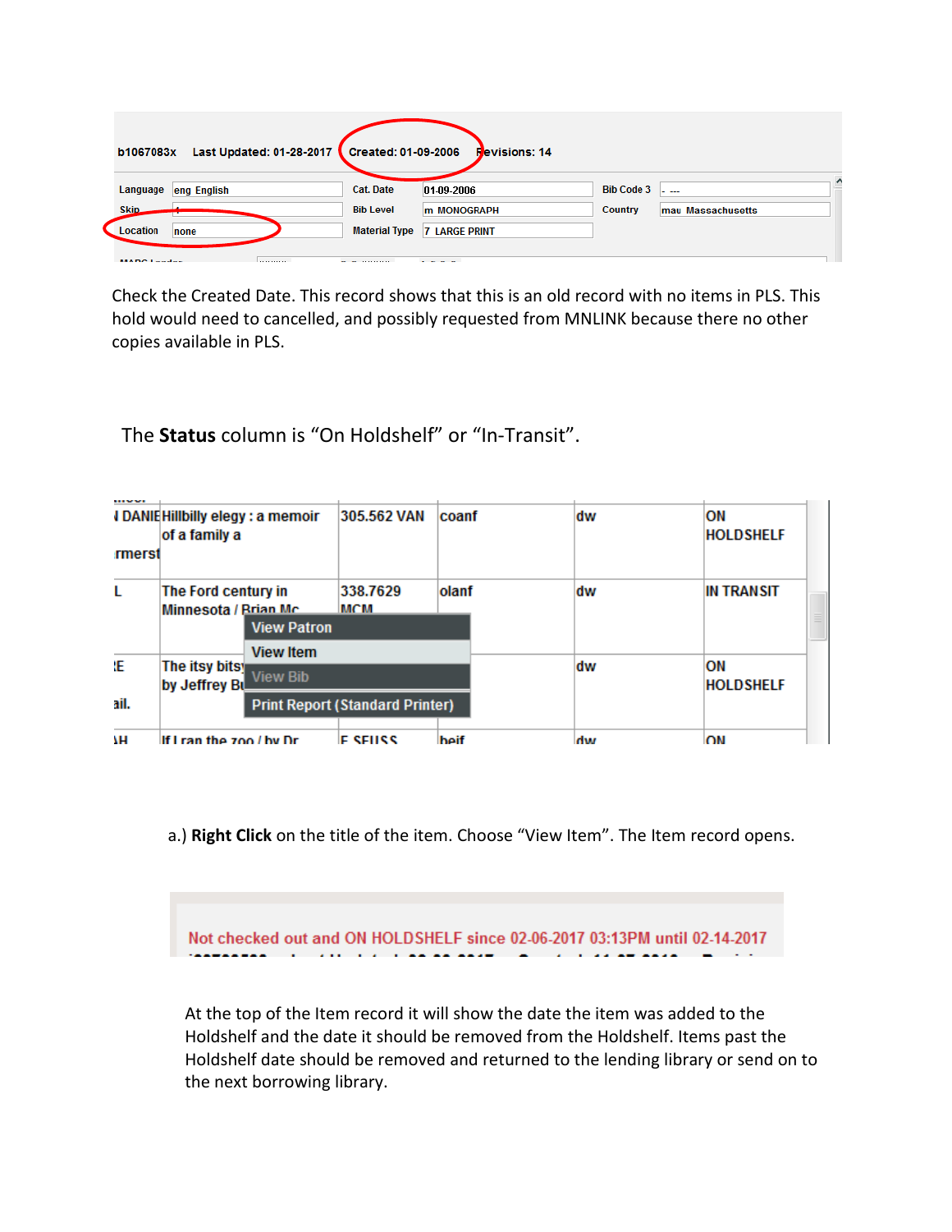| Last Updated: 01-28-2017<br>b1067083x | Created: 01-09-2006                              | <b>Revisions: 14</b>                                      |                   |                   |
|---------------------------------------|--------------------------------------------------|-----------------------------------------------------------|-------------------|-------------------|
| eng English<br>Language               | <b>Cat. Date</b>                                 | 01-09-2006                                                | <b>Bib Code 3</b> | $\sim$            |
| <b>Skip</b>                           | <b>Bib Level</b>                                 | <b>m MONOGRAPH</b>                                        | <b>Country</b>    | mau Massachusetts |
| Location<br>none                      | <b>Material Type</b>                             | <b>7 LARGE PRINT</b>                                      |                   |                   |
| MADC Loader<br>.                      | $\sim$ $\sim$ $\sim$ $\sim$ $\sim$ $\sim$ $\sim$ | $\mathbf{r}$ , $\mathbf{r}$ , $\mathbf{r}$ , $\mathbf{r}$ |                   |                   |

Check the Created Date. This record shows that this is an old record with no items in PLS. This hold would need to cancelled, and possibly requested from MNLINK because there no other copies available in PLS.

The **Status** column is "On Holdshelf" or "In-Transit".

|    |                                 | <b>View Patron</b><br><b>View Item</b> |  |    | $\equiv$        |
|----|---------------------------------|----------------------------------------|--|----|-----------------|
| Œ. | The itsy bitsy<br>by Jeffrey Bu | <b>View Bib</b>                        |  | dw | ΟN<br>HOLDSHELF |

a.) **Right Click** on the title of the item. Choose "View Item". The Item record opens.

Not checked out and ON HOLDSHELF since 02-06-2017 03:13PM until 02-14-2017

 At the top of the Item record it will show the date the item was added to the Holdshelf and the date it should be removed from the Holdshelf. Items past the Holdshelf date should be removed and returned to the lending library or send on to the next borrowing library.